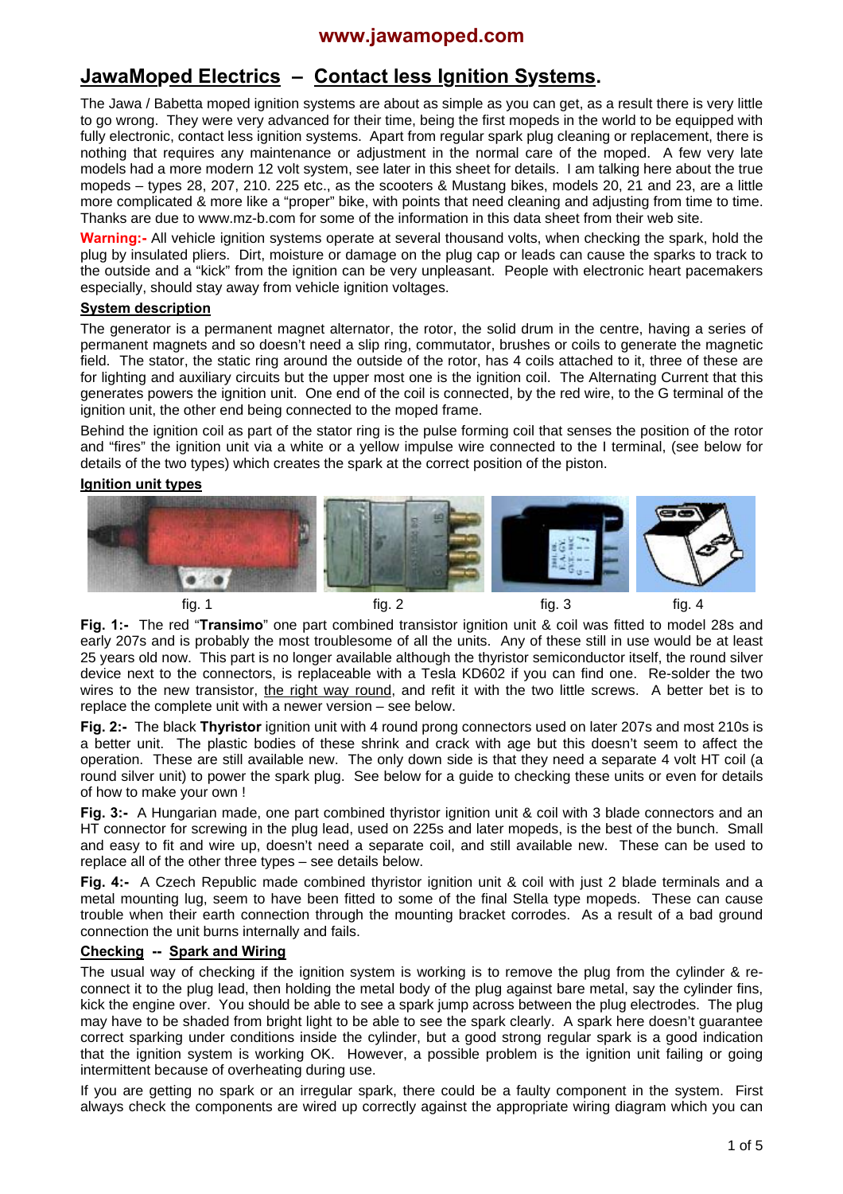# **JawaMoped Electrics – Contact less Ignition Systems.**

The Jawa / Babetta moped ignition systems are about as simple as you can get, as a result there is very little to go wrong. They were very advanced for their time, being the first mopeds in the world to be equipped with fully electronic, contact less ignition systems. Apart from regular spark plug cleaning or replacement, there is nothing that requires any maintenance or adjustment in the normal care of the moped. A few very late models had a more modern 12 volt system, see later in this sheet for details. I am talking here about the true mopeds – types 28, 207, 210. 225 etc., as the scooters & Mustang bikes, models 20, 21 and 23, are a little more complicated & more like a "proper" bike, with points that need cleaning and adjusting from time to time. Thanks are due to www.mz-b.com for some of the information in this data sheet from their web site.

**Warning:-** All vehicle ignition systems operate at several thousand volts, when checking the spark, hold the plug by insulated pliers. Dirt, moisture or damage on the plug cap or leads can cause the sparks to track to the outside and a "kick" from the ignition can be very unpleasant. People with electronic heart pacemakers especially, should stay away from vehicle ignition voltages.

## **System description**

The generator is a permanent magnet alternator, the rotor, the solid drum in the centre, having a series of permanent magnets and so doesn't need a slip ring, commutator, brushes or coils to generate the magnetic field. The stator, the static ring around the outside of the rotor, has 4 coils attached to it, three of these are for lighting and auxiliary circuits but the upper most one is the ignition coil. The Alternating Current that this generates powers the ignition unit. One end of the coil is connected, by the red wire, to the G terminal of the ignition unit, the other end being connected to the moped frame.

Behind the ignition coil as part of the stator ring is the pulse forming coil that senses the position of the rotor and "fires" the ignition unit via a white or a yellow impulse wire connected to the I terminal, (see below for details of the two types) which creates the spark at the correct position of the piston.

## **Ignition unit types**



**Fig. 1:-** The red "**Transimo**" one part combined transistor ignition unit & coil was fitted to model 28s and early 207s and is probably the most troublesome of all the units. Any of these still in use would be at least 25 years old now. This part is no longer available although the thyristor semiconductor itself, the round silver device next to the connectors, is replaceable with a Tesla KD602 if you can find one. Re-solder the two wires to the new transistor, the right way round, and refit it with the two little screws. A better bet is to replace the complete unit with a newer version – see below.

**Fig. 2:-** The black **Thyristor** ignition unit with 4 round prong connectors used on later 207s and most 210s is a better unit. The plastic bodies of these shrink and crack with age but this doesn't seem to affect the operation. These are still available new. The only down side is that they need a separate 4 volt HT coil (a round silver unit) to power the spark plug. See below for a guide to checking these units or even for details of how to make your own !

**Fig. 3:-** A Hungarian made, one part combined thyristor ignition unit & coil with 3 blade connectors and an HT connector for screwing in the plug lead, used on 225s and later mopeds, is the best of the bunch. Small and easy to fit and wire up, doesn't need a separate coil, and still available new. These can be used to replace all of the other three types – see details below.

**Fig. 4:-** A Czech Republic made combined thyristor ignition unit & coil with just 2 blade terminals and a metal mounting lug, seem to have been fitted to some of the final Stella type mopeds. These can cause trouble when their earth connection through the mounting bracket corrodes. As a result of a bad ground connection the unit burns internally and fails.

## **Checking -- Spark and Wiring**

The usual way of checking if the ignition system is working is to remove the plug from the cylinder & reconnect it to the plug lead, then holding the metal body of the plug against bare metal, say the cylinder fins, kick the engine over. You should be able to see a spark jump across between the plug electrodes. The plug may have to be shaded from bright light to be able to see the spark clearly. A spark here doesn't guarantee correct sparking under conditions inside the cylinder, but a good strong regular spark is a good indication that the ignition system is working OK. However, a possible problem is the ignition unit failing or going intermittent because of overheating during use.

If you are getting no spark or an irregular spark, there could be a faulty component in the system. First always check the components are wired up correctly against the appropriate wiring diagram which you can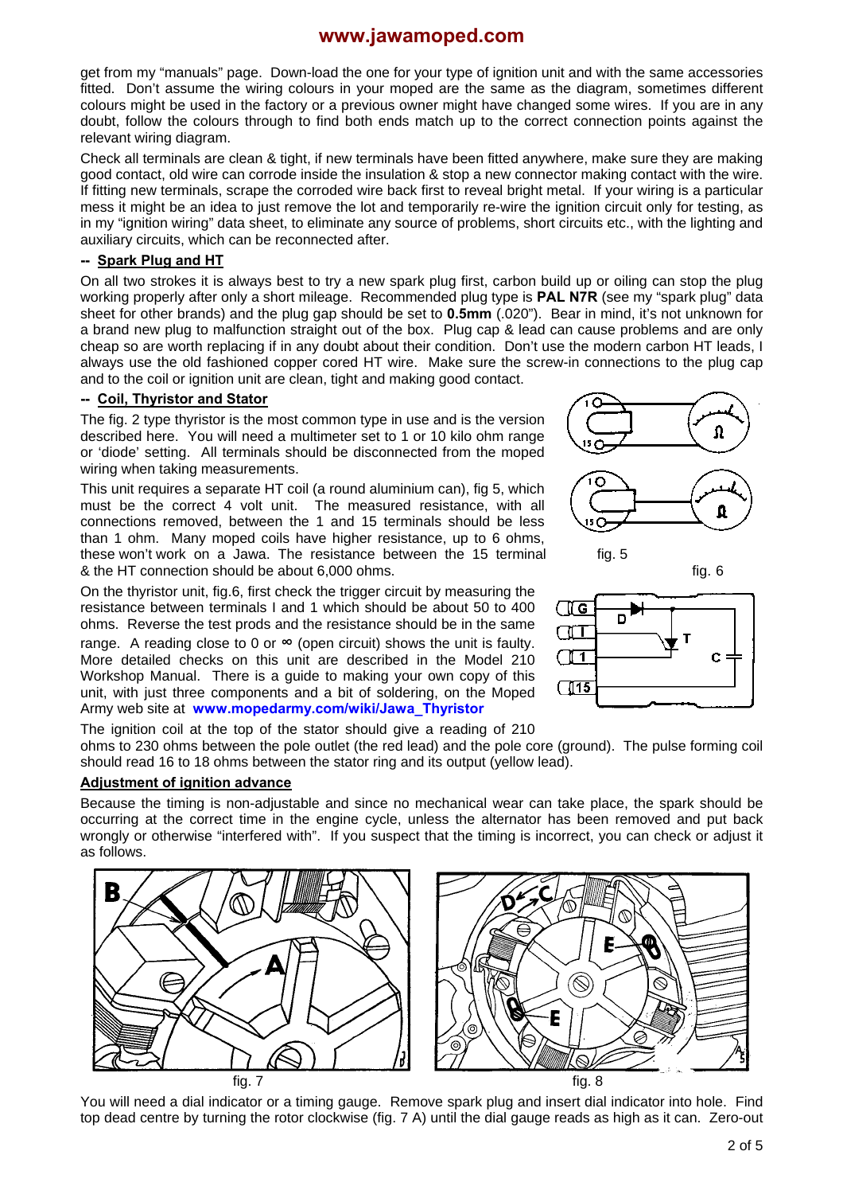get from my "manuals" page. Down-load the one for your type of ignition unit and with the same accessories fitted. Don't assume the wiring colours in your moped are the same as the diagram, sometimes different colours might be used in the factory or a previous owner might have changed some wires. If you are in any doubt, follow the colours through to find both ends match up to the correct connection points against the relevant wiring diagram.

Check all terminals are clean & tight, if new terminals have been fitted anywhere, make sure they are making good contact, old wire can corrode inside the insulation & stop a new connector making contact with the wire. If fitting new terminals, scrape the corroded wire back first to reveal bright metal. If your wiring is a particular mess it might be an idea to just remove the lot and temporarily re-wire the ignition circuit only for testing, as in my "ignition wiring" data sheet, to eliminate any source of problems, short circuits etc., with the lighting and auxiliary circuits, which can be reconnected after.

### **-- Spark Plug and HT**

On all two strokes it is always best to try a new spark plug first, carbon build up or oiling can stop the plug working properly after only a short mileage. Recommended plug type is **PAL N7R** (see my "spark plug" data sheet for other brands) and the plug gap should be set to **0.5mm** (.020"). Bear in mind, it's not unknown for a brand new plug to malfunction straight out of the box. Plug cap & lead can cause problems and are only cheap so are worth replacing if in any doubt about their condition. Don't use the modern carbon HT leads, I always use the old fashioned copper cored HT wire. Make sure the screw-in connections to the plug cap and to the coil or ignition unit are clean, tight and making good contact.

### **-- Coil, Thyristor and Stator**

The fig. 2 type thyristor is the most common type in use and is the version described here. You will need a multimeter set to 1 or 10 kilo ohm range or 'diode' setting. All terminals should be disconnected from the moped wiring when taking measurements.

This unit requires a separate HT coil (a round aluminium can), fig 5, which must be the correct 4 volt unit. The measured resistance, with all connections removed, between the 1 and 15 terminals should be less than 1 ohm. Many moped coils have higher resistance, up to 6 ohms, these won't work on a Jawa. The resistance between the 15 terminal fig. 5 & the HT connection should be about 6,000 ohms. fig. 6

On the thyristor unit, fig.6, first check the trigger circuit by measuring the resistance between terminals I and 1 which should be about 50 to 400 ohms. Reverse the test prods and the resistance should be in the same range. A reading close to 0 or **∞** (open circuit) shows the unit is faulty. More detailed checks on this unit are described in the Model 210 Workshop Manual. There is a guide to making your own copy of this unit, with just three components and a bit of soldering, on the Moped Army web site at **[www.mopedarmy.com/wiki/Jawa\\_Thyristor](http://www.mopedarmy.com/wiki/Jawa_Thyristor)**



ohms to 230 ohms between the pole outlet (the red lead) and the pole core (ground). The pulse forming coil should read 16 to 18 ohms between the stator ring and its output (yellow lead).

#### **Adjustment of ignition advance**

Because the timing is non-adjustable and since no mechanical wear can take place, the spark should be occurring at the correct time in the engine cycle, unless the alternator has been removed and put back wrongly or otherwise "interfered with". If you suspect that the timing is incorrect, you can check or adjust it as follows.



You will need a dial indicator or a timing gauge. Remove spark plug and insert dial indicator into hole. Find top dead centre by turning the rotor clockwise (fig. 7 A) until the dial gauge reads as high as it can. Zero-out



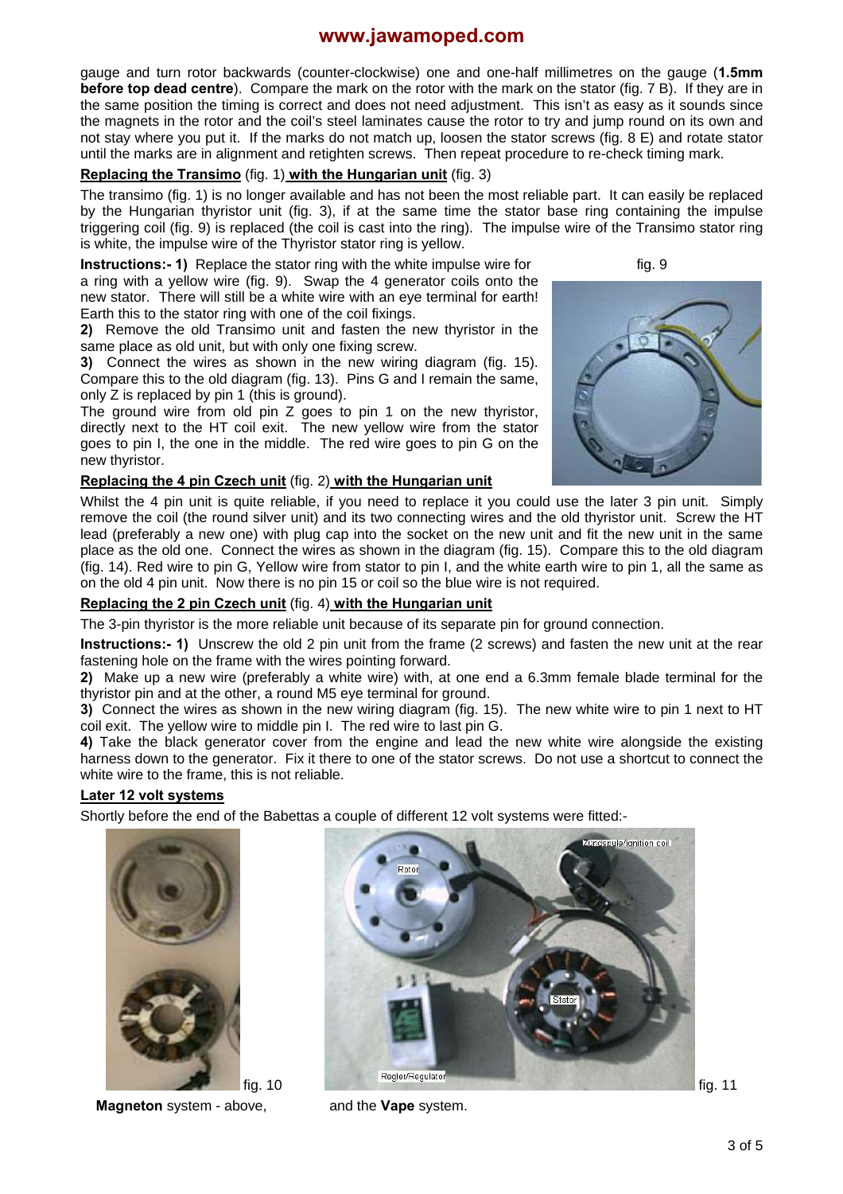gauge and turn rotor backwards (counter-clockwise) one and one-half millimetres on the gauge (**1.5mm before top dead centre**). Compare the mark on the rotor with the mark on the stator (fig. 7 B). If they are in the same position the timing is correct and does not need adjustment. This isn't as easy as it sounds since the magnets in the rotor and the coil's steel laminates cause the rotor to try and jump round on its own and not stay where you put it. If the marks do not match up, loosen the stator screws (fig. 8 E) and rotate stator until the marks are in alignment and retighten screws. Then repeat procedure to re-check timing mark.

## **Replacing the Transimo** (fig. 1) **with the Hungarian unit** (fig. 3)

The transimo (fig. 1) is no longer available and has not been the most reliable part. It can easily be replaced by the Hungarian thyristor unit (fig. 3), if at the same time the stator base ring containing the impulse triggering coil (fig. 9) is replaced (the coil is cast into the ring). The impulse wire of the Transimo stator ring is white, the impulse wire of the Thyristor stator ring is yellow.

**Instructions:- 1)** Replace the stator ring with the white impulse wire for fig. 9 a ring with a yellow wire (fig. 9). Swap the 4 generator coils onto the new stator. There will still be a white wire with an eye terminal for earth! Earth this to the stator ring with one of the coil fixings.

**2)** Remove the old Transimo unit and fasten the new thyristor in the same place as old unit, but with only one fixing screw.

**3)** Connect the wires as shown in the new wiring diagram (fig. 15). Compare this to the old diagram (fig. 13). Pins G and I remain the same, only Z is replaced by pin 1 (this is ground).

The ground wire from old pin Z goes to pin 1 on the new thyristor, directly next to the HT coil exit. The new yellow wire from the stator goes to pin I, the one in the middle. The red wire goes to pin G on the new thyristor.

#### **Replacing the 4 pin Czech unit** (fig. 2) **with the Hungarian unit**



Whilst the 4 pin unit is quite reliable, if you need to replace it you could use the later 3 pin unit. Simply remove the coil (the round silver unit) and its two connecting wires and the old thyristor unit. Screw the HT lead (preferably a new one) with plug cap into the socket on the new unit and fit the new unit in the same place as the old one. Connect the wires as shown in the diagram (fig. 15). Compare this to the old diagram (fig. 14). Red wire to pin G, Yellow wire from stator to pin I, and the white earth wire to pin 1, all the same as on the old 4 pin unit. Now there is no pin 15 or coil so the blue wire is not required.

## **Replacing the 2 pin Czech unit** (fig. 4) **with the Hungarian unit**

The 3-pin thyristor is the more reliable unit because of its separate pin for ground connection.

**Instructions:- 1)** Unscrew the old 2 pin unit from the frame (2 screws) and fasten the new unit at the rear fastening hole on the frame with the wires pointing forward.

**2)** Make up a new wire (preferably a white wire) with, at one end a 6.3mm female blade terminal for the thyristor pin and at the other, a round M5 eye terminal for ground.

**3)** Connect the wires as shown in the new wiring diagram (fig. 15). The new white wire to pin 1 next to HT coil exit. The yellow wire to middle pin I. The red wire to last pin G.

**4)** Take the black generator cover from the engine and lead the new white wire alongside the existing harness down to the generator. Fix it there to one of the stator screws. Do not use a shortcut to connect the white wire to the frame, this is not reliable.

#### **Later 12 volt systems**

Shortly before the end of the Babettas a couple of different 12 volt systems were fitted:-



**Magneton** system - above, and the **Vape** system.

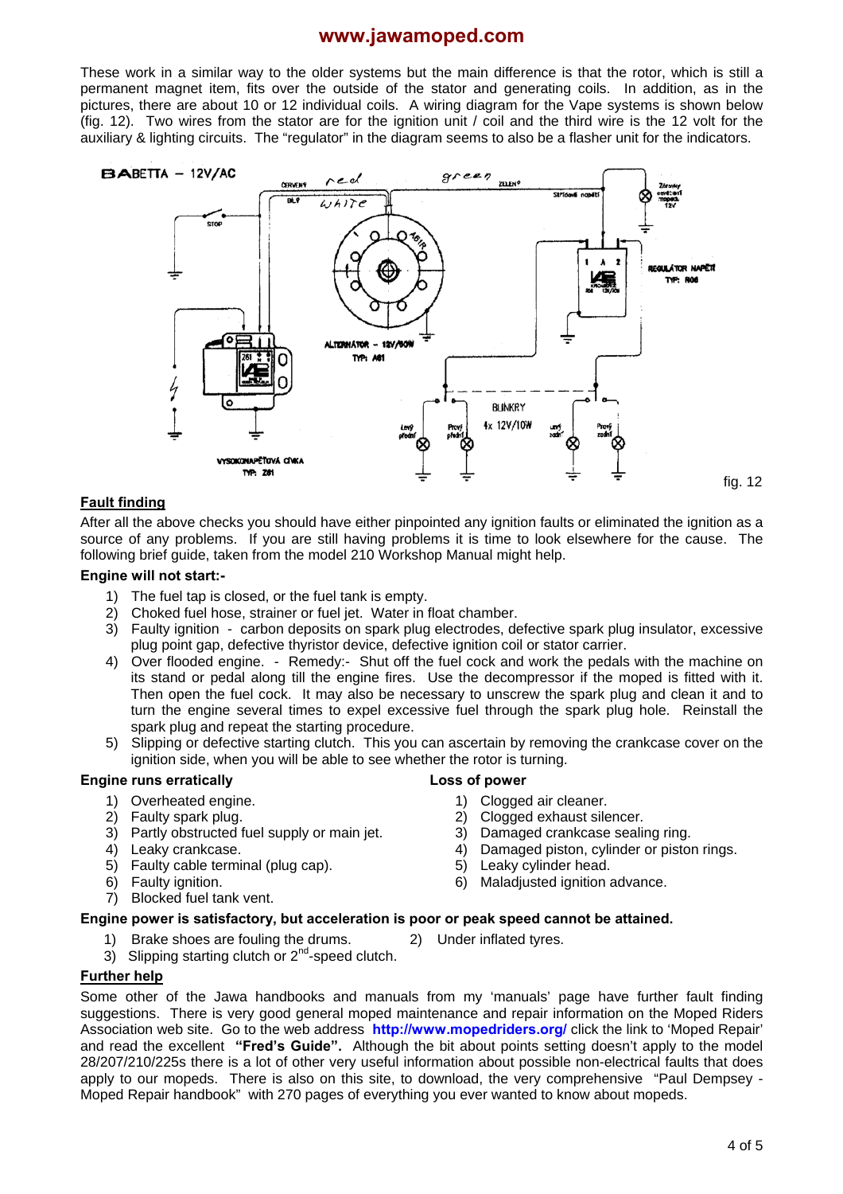These work in a similar way to the older systems but the main difference is that the rotor, which is still a permanent magnet item, fits over the outside of the stator and generating coils. In addition, as in the pictures, there are about 10 or 12 individual coils. A wiring diagram for the Vape systems is shown below (fig. 12). Two wires from the stator are for the ignition unit / coil and the third wire is the 12 volt for the auxiliary & lighting circuits. The "regulator" in the diagram seems to also be a flasher unit for the indicators.



### **Fault finding**

After all the above checks you should have either pinpointed any ignition faults or eliminated the ignition as a source of any problems. If you are still having problems it is time to look elsewhere for the cause. The following brief guide, taken from the model 210 Workshop Manual might help.

#### **Engine will not start:-**

- 1) The fuel tap is closed, or the fuel tank is empty.
- 2) Choked fuel hose, strainer or fuel jet. Water in float chamber.
- 3) Faulty ignition carbon deposits on spark plug electrodes, defective spark plug insulator, excessive plug point gap, defective thyristor device, defective ignition coil or stator carrier.
- 4) Over flooded engine. Remedy:- Shut off the fuel cock and work the pedals with the machine on its stand or pedal along till the engine fires. Use the decompressor if the moped is fitted with it. Then open the fuel cock. It may also be necessary to unscrew the spark plug and clean it and to turn the engine several times to expel excessive fuel through the spark plug hole. Reinstall the spark plug and repeat the starting procedure.
- 5) Slipping or defective starting clutch. This you can ascertain by removing the crankcase cover on the ignition side, when you will be able to see whether the rotor is turning.

## **Engine runs erratically**

- 1) Overheated engine.
- 2) Faulty spark plug.
- 3) Partly obstructed fuel supply or main jet.
- 4) Leaky crankcase.
- 5) Faulty cable terminal (plug cap).
- 6) Faulty ignition.
- 7) Blocked fuel tank vent.
- **Loss of power** 
	- 1) Clogged air cleaner.
	- 2) Clogged exhaust silencer.
	- 3) Damaged crankcase sealing ring.
	- 4) Damaged piston, cylinder or piston rings.
	- 5) Leaky cylinder head.
	- 6) Maladjusted ignition advance.
- 
- **Engine power is satisfactory, but acceleration is poor or peak speed cannot be attained.** 
	- 1) Brake shoes are fouling the drums. 2) Under inflated tyres.
	- 3) Slipping starting clutch or  $2^{nd}$ -speed clutch.

#### **Further help**

Some other of the Jawa handbooks and manuals from my 'manuals' page have further fault finding suggestions. There is very good general moped maintenance and repair information on the Moped Riders Association web site. Go to the web address **<http://www.mopedriders.org/>** click the link to 'Moped Repair' and read the excellent **"Fred's Guide".** Although the bit about points setting doesn't apply to the model 28/207/210/225s there is a lot of other very useful information about possible non-electrical faults that does apply to our mopeds. There is also on this site, to download, the very comprehensive "Paul Dempsey - Moped Repair handbook" with 270 pages of everything you ever wanted to know about mopeds.